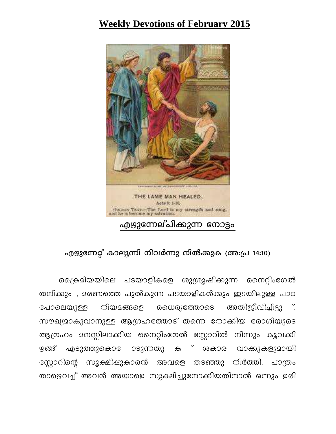## **Weekly Devotions of February 2015**



## എഴുന്നേറ്റ് കാലുന്നി നിവർന്നു നിൽക്കുക (അ:പ്ര 14:10)

്രൈകമിയയിലെ പടയാളികളെ ശുശ്രൂഷിക്കുന്ന നൈറ്റിംഗേൽ തനിക്കും , മരണത്തെ പുൽകുന്ന പടയാളികൾക്കും ഇടയിലുള്ള പാറ നിയമങ്ങളെ ധൈര്യത്തോടെ അതിജീവിച്ചിട്ടു ". പോലെയുള്ള സൗഖ്യമാകുവാനുള്ള ആഗ്രഹത്തോട് തന്നെ നോക്കിയ രോഗിയുടെ ആഗ്രഹം മനസ്സിലാക്കിയ നൈറ്റിംഗേൽ സ്റ്റോറിൽ നിന്നും കൂവക്കി ഴങ്ങ് എടുത്തുകൊ ോടുന്നതു ക് ശകാര വാക്കുകളുമായി സ്റ്റോറിന്റെ സുക്ഷിപ്പുകാരൻ അവളെ തടഞ്ഞു നിർത്തി. പാത്രം താഴെവച്ച് അവൾ അയാളെ സൂക്ഷിച്ചുനോക്കിയതിനാൽ ഒന്നും ഉരി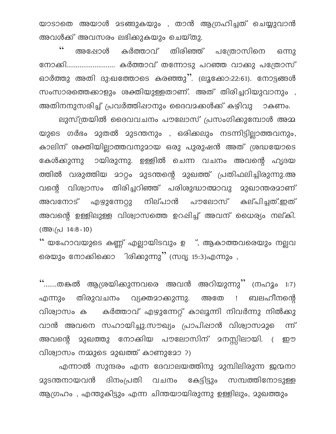യാടാതെ അയാൾ മടങ്ങുകയും , താൻ ആഗ്രഹിച്ചത് ചെയ്യുവാൻ അവൾക്ക് അവസരം ലഭിക്കുകയും ചെയ്തു.

 $\boldsymbol{\zeta} \, \boldsymbol{\zeta}$ കർത്താവ് തിരിഞ്ഞ് പത്രോസിനെ അഷോൾ ഒന്നു ഓർത്തു അതി ദു:ഖത്തോടെ കരഞ്ഞു". (ലൂക്കോ:22:61). നോട്ടങ്ങൾ സംസാരത്തെക്കാളും ശക്തിയുള്ളതാണ്. അത് തിരിച്ചറിയുവാനും , അതിനനുസരിച്ച് പ്രവർത്തിപ്പാനും ദൈവമക്കൾക്ക് കഴിവു ാകണം.

ലുസ്ത്രയിൽ ദൈവവചനം പൗലോസ് പ്രസംഗിക്കുമ്പോൾ അമ്മ യുടെ ഗർഭം മുതൽ മുടന്തനും , ഒരിക്കലും നടന്നിട്ടില്ലാത്തവനും, കാലിന് ശക്തിയില്ലാത്തവനുമായ ഒരു പുരുഷൻ അത് ശ്രദ്ധയോടെ കേൾക്കുന്നു ായിരുന്നു. ഉള്ളിൽ ചെന്ന വചനം അവന്റെ ഹൃദയ ത്തിൽ വരുത്തിയ മാറ്റം മുടന്തന്റെ മുഖത്ത് പ്രതിഫലിച്ചിരുന്നു.അ വന്റെ വിശ്വാസം തിരിച്ചറിഞ്ഞ് പരിശുദ്ധാത്മാവു മുഖാന്തരമാണ് അവനോട് എഴുന്നേറ്റു നില്പാൻ പൗലോസ് കല്പിച്ചത്.ഇത് അവന്റെ ഉള്ളിലുള്ള വിശ്വാസത്തെ ഉറപ്പിച്ച് അവന് ധൈര്യം നല്കി. (അ $:(\triangle 14:8-10)$ 

'' യഹോവയുടെ കണ്ണ് എല്ലായിടവും ഉ ഃ, ആകാത്തവരെയും നല്ലവ രെയും നോക്കിക്കൊ ിരിക്കുന്നു" (സദൃ 15:3)എന്നും ,

"…….തങ്കൽ ആശ്രയിക്കുന്നവരെ അവൻ അറിയുന്നു" (നഹൂം 1:7) തിരുവചനം വ്യക്തമാക്കുന്നു. അതേ ! ബലഹീനന്റെ എന്നും വിശ്വാസം ക കർത്താവ് എഴുന്നേറ്റ് കാലൂന്നി നിവർന്നു നിൽക്കു വാൻ അവനെ സഹായിച്ചു.സൗഖ്യം പ്രാപിഷാൻ വിശ്വാസമുെ ൬ഀ മുഖത്തു നോക്കിയ പൗലോസിന് മനസ്സിലായി. ( അവന്റെ ഈ വിശ്വാസം നമ്മുടെ മുഖത്ത് കാണുമോ ?)

എന്നാൽ സുന്ദരം എന്ന ദേവാലയത്തിനു മുമ്പിലിരുന്ന ജന്മനാ കേട്ടിട്ടും സമ്പത്തിനോടുള്ള <u> മുടന്തനായവൻ ദിനംപ്രതി വചനം</u> ആഗ്രഹം , എന്തുകിട്ടും എന്ന ചിന്തയായിരുന്നു ഉള്ളിലും, മുഖത്തും